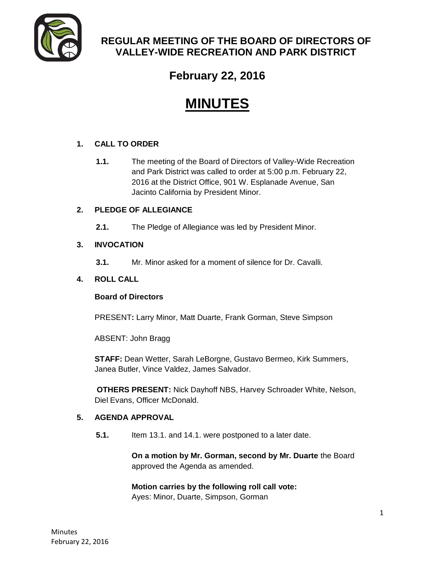

# **REGULAR MEETING OF THE BOARD OF DIRECTORS OF VALLEY-WIDE RECREATION AND PARK DISTRICT**

# **February 22, 2016**

# **MINUTES**

# **1. CALL TO ORDER**

**1.1.** The meeting of the Board of Directors of Valley-Wide Recreation and Park District was called to order at 5:00 p.m. February 22, 2016 at the District Office, 901 W. Esplanade Avenue, San Jacinto California by President Minor.

# **2. PLEDGE OF ALLEGIANCE**

**2.1.** The Pledge of Allegiance was led by President Minor.

# **3. INVOCATION**

**3.1.** Mr. Minor asked for a moment of silence for Dr. Cavalli.

# **4. ROLL CALL**

# **Board of Directors**

PRESENT**:** Larry Minor, Matt Duarte, Frank Gorman, Steve Simpson

ABSENT: John Bragg

**STAFF:** Dean Wetter, Sarah LeBorgne, Gustavo Bermeo, Kirk Summers, Janea Butler, Vince Valdez, James Salvador.

**OTHERS PRESENT:** Nick Dayhoff NBS, Harvey Schroader White, Nelson, Diel Evans, Officer McDonald.

# **5. AGENDA APPROVAL**

**5.1.** Item 13.1. and 14.1. were postponed to a later date.

**On a motion by Mr. Gorman, second by Mr. Duarte** the Board approved the Agenda as amended.

#### **Motion carries by the following roll call vote:**  Ayes: Minor, Duarte, Simpson, Gorman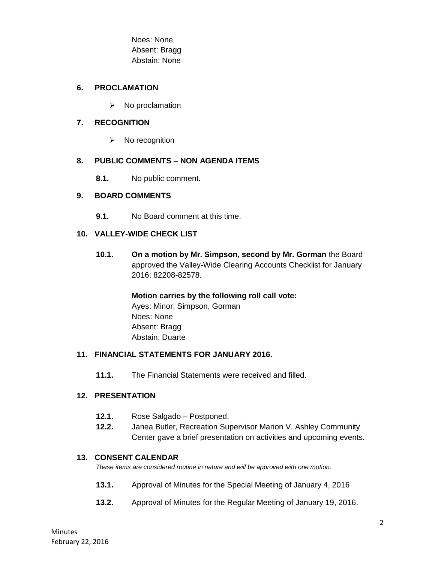Noes: None Absent: Bragg Abstain: None

#### **6. PROCLAMATION**

 $\triangleright$  No proclamation

#### **7. RECOGNITION**

 $\triangleright$  No recognition

#### **8. PUBLIC COMMENTS – NON AGENDA ITEMS**

**8.1.** No public comment.

#### **9. BOARD COMMENTS**

**9.1.** No Board comment at this time.

#### **10. VALLEY-WIDE CHECK LIST**

**10.1. On a motion by Mr. Simpson, second by Mr. Gorman** the Board approved the Valley-Wide Clearing Accounts Checklist for January 2016: 82208-82578.

> **Motion carries by the following roll call vote:**  Ayes: Minor, Simpson, Gorman Noes: None Absent: Bragg Abstain: Duarte

#### **11. FINANCIAL STATEMENTS FOR JANUARY 2016.**

**11.1.** The Financial Statements were received and filled.

#### **12. PRESENTATION**

- **12.1.** Rose Salgado Postponed.
- **12.2.** Janea Butler, Recreation Supervisor Marion V. Ashley Community Center gave a brief presentation on activities and upcoming events.

#### **13. CONSENT CALENDAR**

*These items are considered routine in nature and will be approved with one motion.* 

- **13.1.** Approval of Minutes for the Special Meeting of January 4, 2016
- **13.2.** Approval of Minutes for the Regular Meeting of January 19, 2016.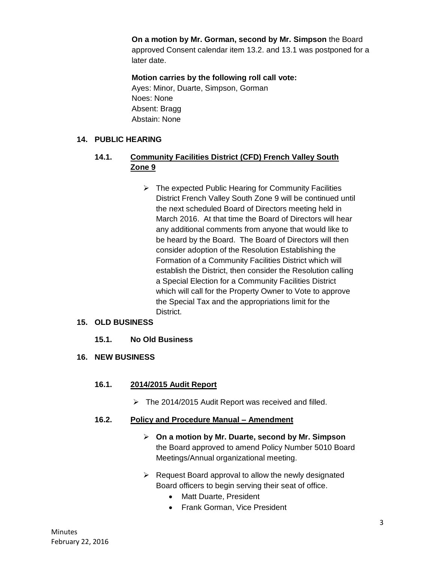**On a motion by Mr. Gorman, second by Mr. Simpson** the Board approved Consent calendar item 13.2. and 13.1 was postponed for a later date.

# **Motion carries by the following roll call vote:**

Ayes: Minor, Duarte, Simpson, Gorman Noes: None Absent: Bragg Abstain: None

#### **14. PUBLIC HEARING**

# **14.1. Community Facilities District (CFD) French Valley South Zone 9**

 $\triangleright$  The expected Public Hearing for Community Facilities District French Valley South Zone 9 will be continued until the next scheduled Board of Directors meeting held in March 2016. At that time the Board of Directors will hear any additional comments from anyone that would like to be heard by the Board. The Board of Directors will then consider adoption of the Resolution Establishing the Formation of a Community Facilities District which will establish the District, then consider the Resolution calling a Special Election for a Community Facilities District which will call for the Property Owner to Vote to approve the Special Tax and the appropriations limit for the District.

#### **15. OLD BUSINESS**

# **15.1. No Old Business**

#### **16. NEW BUSINESS**

# **16.1. 2014/2015 Audit Report**

 $\triangleright$  The 2014/2015 Audit Report was received and filled.

#### **16.2. Policy and Procedure Manual – Amendment**

- **On a motion by Mr. Duarte, second by Mr. Simpson** the Board approved to amend Policy Number 5010 Board Meetings/Annual organizational meeting.
- $\triangleright$  Request Board approval to allow the newly designated Board officers to begin serving their seat of office.
	- Matt Duarte, President
	- Frank Gorman, Vice President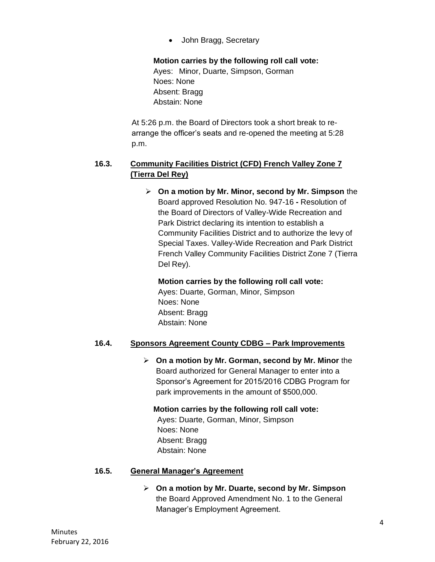• John Bragg, Secretary

**Motion carries by the following roll call vote:** 

Ayes: Minor, Duarte, Simpson, Gorman Noes: None Absent: Bragg Abstain: None

At 5:26 p.m. the Board of Directors took a short break to rearrange the officer's seats and re-opened the meeting at 5:28 p.m.

# **16.3. Community Facilities District (CFD) French Valley Zone 7 (Tierra Del Rey)**

 **On a motion by Mr. Minor, second by Mr. Simpson** the Board approved Resolution No. 947-16 **-** Resolution of the Board of Directors of Valley-Wide Recreation and Park District declaring its intention to establish a Community Facilities District and to authorize the levy of Special Taxes. Valley-Wide Recreation and Park District French Valley Community Facilities District Zone 7 (Tierra Del Rey).

#### **Motion carries by the following roll call vote:**

Ayes: Duarte, Gorman, Minor, Simpson Noes: None Absent: Bragg Abstain: None

# **16.4. Sponsors Agreement County CDBG – Park Improvements**

 **On a motion by Mr. Gorman, second by Mr. Minor** the Board authorized for General Manager to enter into a Sponsor's Agreement for 2015/2016 CDBG Program for park improvements in the amount of \$500,000.

**Motion carries by the following roll call vote:**  Ayes: Duarte, Gorman, Minor, Simpson Noes: None Absent: Bragg Abstain: None

#### **16.5. General Manager's Agreement**

 **On a motion by Mr. Duarte, second by Mr. Simpson** the Board Approved Amendment No. 1 to the General Manager's Employment Agreement.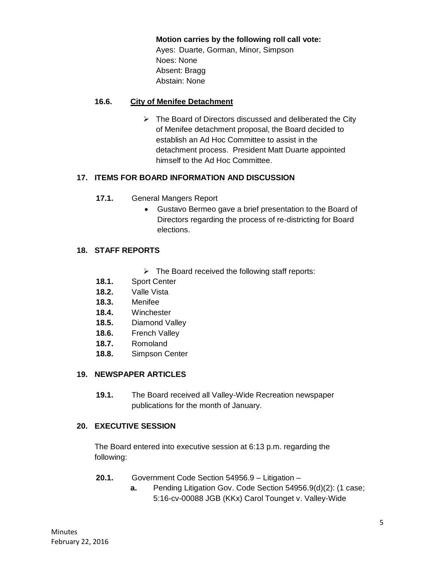**Motion carries by the following roll call vote:** 

Ayes: Duarte, Gorman, Minor, Simpson Noes: None Absent: Bragg Abstain: None

#### **16.6. City of Menifee Detachment**

 $\triangleright$  The Board of Directors discussed and deliberated the City of Menifee detachment proposal, the Board decided to establish an Ad Hoc Committee to assist in the detachment process. President Matt Duarte appointed himself to the Ad Hoc Committee.

# **17. ITEMS FOR BOARD INFORMATION AND DISCUSSION**

- **17.1.** General Mangers Report
	- Gustavo Bermeo gave a brief presentation to the Board of Directors regarding the process of re-districting for Board elections.

#### **18. STAFF REPORTS**

- $\triangleright$  The Board received the following staff reports:
- **18.1.** Sport Center
- **18.2.** Valle Vista
- **18.3.** Menifee
- **18.4.** Winchester
- **18.5.** Diamond Valley
- **18.6.** French Valley
- **18.7.** Romoland
- **18.8.** Simpson Center

# **19. NEWSPAPER ARTICLES**

**19.1.** The Board received all Valley-Wide Recreation newspaper publications for the month of January.

#### **20. EXECUTIVE SESSION**

The Board entered into executive session at 6:13 p.m. regarding the following:

- **20.1.** Government Code Section 54956.9 Litigation
	- **a.** Pending Litigation Gov. Code Section 54956.9(d)(2): (1 case; 5:16-cv-00088 JGB (KKx) Carol Tounget v. Valley-Wide